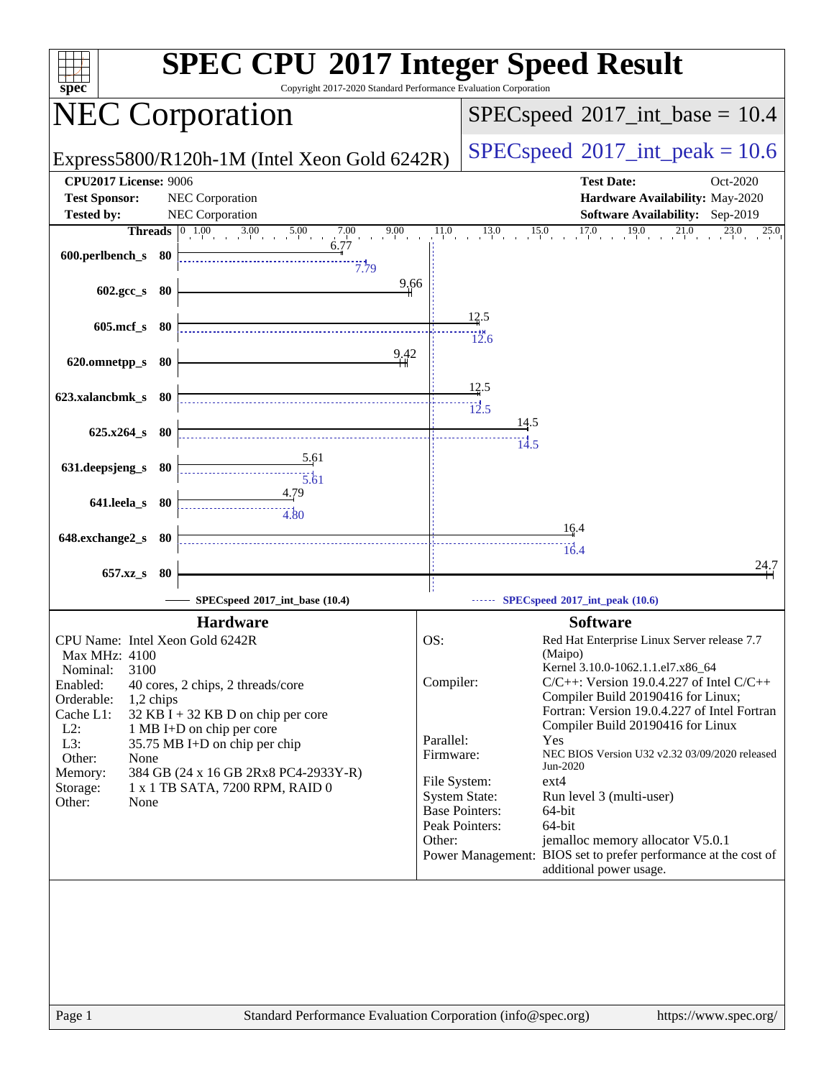| spec <sup>®</sup>                 | <b>SPEC CPU®2017 Integer Speed Result</b><br>Copyright 2017-2020 Standard Performance Evaluation Corporation |              |                                         |                                                                                            |                                        |
|-----------------------------------|--------------------------------------------------------------------------------------------------------------|--------------|-----------------------------------------|--------------------------------------------------------------------------------------------|----------------------------------------|
|                                   | <b>NEC Corporation</b>                                                                                       |              |                                         | $SPEC speed^{\circ}2017\_int\_base = 10.4$                                                 |                                        |
|                                   | Express5800/R120h-1M (Intel Xeon Gold 6242R)                                                                 |              |                                         | $SPEC speed^{\circ}2017\_int\_peak = 10.6$                                                 |                                        |
| <b>CPU2017 License: 9006</b>      |                                                                                                              |              |                                         | <b>Test Date:</b>                                                                          | Oct-2020                               |
| <b>Test Sponsor:</b>              | <b>NEC</b> Corporation                                                                                       |              |                                         |                                                                                            | Hardware Availability: May-2020        |
| <b>Tested by:</b>                 | NEC Corporation                                                                                              |              |                                         |                                                                                            | <b>Software Availability:</b> Sep-2019 |
|                                   | <b>Threads</b> $\begin{array}{ c c c c } \hline 0 & 1.00 & 3.00 & 5.00 & 7.00 \ \hline \end{array}$<br>9.00  | 11.0         | $13.0$ $15.0$                           | $17.0$ $19.0$ $21.0$                                                                       | 23.0<br>25.0                           |
| 600.perlbench_s 80                | 6/f/                                                                                                         |              |                                         |                                                                                            |                                        |
| 602.gcc_s 80                      | 7.79<br>9,66                                                                                                 |              |                                         |                                                                                            |                                        |
| 605.mcf_s 80                      |                                                                                                              |              | 12.5<br>12.6                            |                                                                                            |                                        |
| 620.omnetpp_s 80                  | 9.42                                                                                                         |              | 12.5                                    |                                                                                            |                                        |
| 623.xalancbmk_s 80                |                                                                                                              |              | 12.5<br><u>14.5</u>                     |                                                                                            |                                        |
| $625.x264_s$ 80                   |                                                                                                              |              | 14.5                                    |                                                                                            |                                        |
| 631.deepsjeng_s 80                | <u>5.61</u><br>$\overline{5.61}$                                                                             |              |                                         |                                                                                            |                                        |
| 641.leela_s 80                    | 4.79<br>4.80                                                                                                 |              |                                         |                                                                                            |                                        |
| 648.exchange2_s 80                |                                                                                                              |              |                                         | 16.4                                                                                       |                                        |
|                                   |                                                                                                              |              |                                         | 16.4                                                                                       |                                        |
| 657.xz_s 80                       |                                                                                                              |              |                                         |                                                                                            | 24.7                                   |
|                                   | SPECspeed*2017_int_base (10.4)                                                                               |              |                                         | SPECspeed®2017_int_peak (10.6)                                                             |                                        |
|                                   |                                                                                                              |              |                                         |                                                                                            |                                        |
|                                   | <b>Hardware</b>                                                                                              |              |                                         | <b>Software</b>                                                                            |                                        |
| CPU Name: Intel Xeon Gold 6242R   |                                                                                                              | OS:          |                                         | Red Hat Enterprise Linux Server release 7.7                                                |                                        |
| Max MHz: 4100<br>3100<br>Nominal: |                                                                                                              |              |                                         | (Maipo)<br>Kernel 3.10.0-1062.1.1.el7.x86_64                                               |                                        |
| Enabled:                          | 40 cores, 2 chips, 2 threads/core                                                                            | Compiler:    |                                         | $C/C++$ : Version 19.0.4.227 of Intel $C/C++$                                              |                                        |
| Orderable:<br>1,2 chips           |                                                                                                              |              |                                         | Compiler Build 20190416 for Linux;                                                         |                                        |
| Cache L1:                         | $32$ KB I + 32 KB D on chip per core                                                                         |              |                                         | Fortran: Version 19.0.4.227 of Intel Fortran                                               |                                        |
| $L2$ :                            | 1 MB I+D on chip per core                                                                                    | Parallel:    |                                         | Compiler Build 20190416 for Linux<br>Yes                                                   |                                        |
| L3:                               | 35.75 MB I+D on chip per chip                                                                                | Firmware:    |                                         | NEC BIOS Version U32 v2.32 03/09/2020 released                                             |                                        |
| Other:<br>None<br>Memory:         | 384 GB (24 x 16 GB 2Rx8 PC4-2933Y-R)                                                                         |              |                                         | Jun-2020                                                                                   |                                        |
| Storage:                          | 1 x 1 TB SATA, 7200 RPM, RAID 0                                                                              | File System: |                                         | $ext{4}$                                                                                   |                                        |
| Other:<br>None                    |                                                                                                              |              | <b>System State:</b>                    | Run level 3 (multi-user)                                                                   |                                        |
|                                   |                                                                                                              |              | <b>Base Pointers:</b><br>Peak Pointers: | 64-bit<br>64-bit                                                                           |                                        |
|                                   |                                                                                                              | Other:       |                                         | jemalloc memory allocator V5.0.1                                                           |                                        |
|                                   |                                                                                                              |              |                                         | Power Management: BIOS set to prefer performance at the cost of<br>additional power usage. |                                        |
| Page 1                            | Standard Performance Evaluation Corporation (info@spec.org)                                                  |              |                                         |                                                                                            | https://www.spec.org/                  |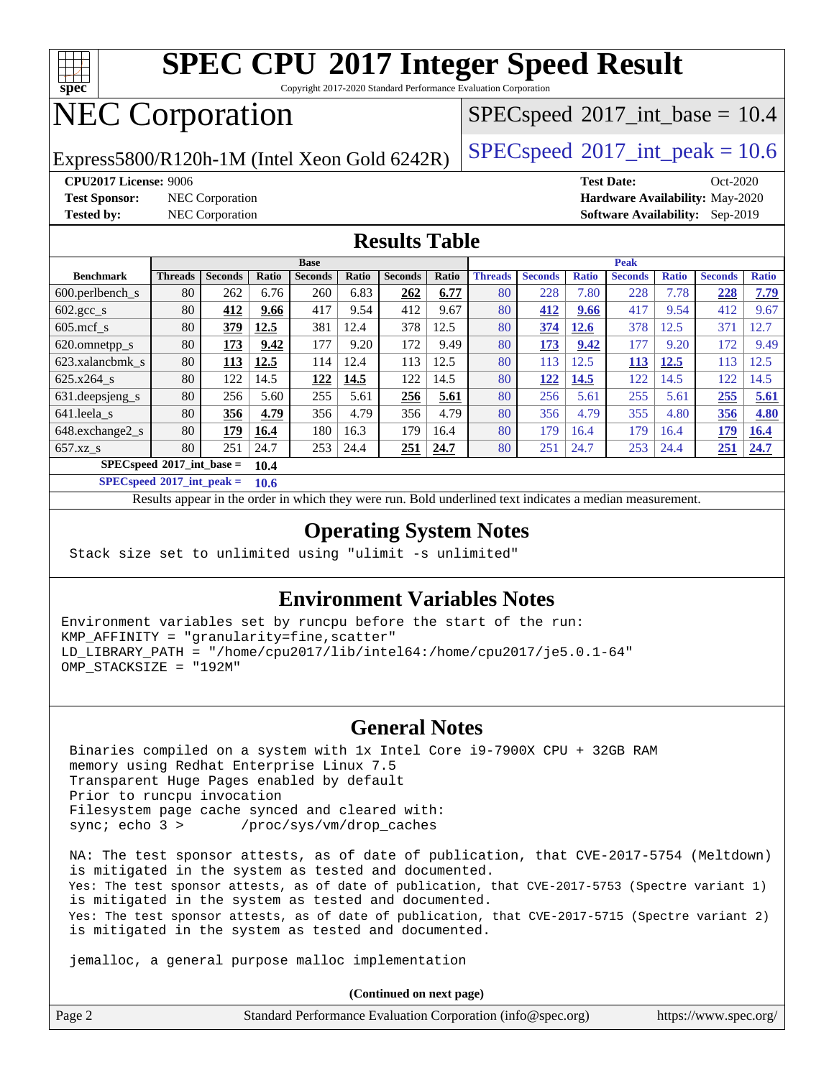

Copyright 2017-2020 Standard Performance Evaluation Corporation

## NEC Corporation

Express5800/R120h-1M (Intel Xeon Gold 6242R) [SPECspeed](http://www.spec.org/auto/cpu2017/Docs/result-fields.html#SPECspeed2017intpeak)®[2017\\_int\\_peak = 1](http://www.spec.org/auto/cpu2017/Docs/result-fields.html#SPECspeed2017intpeak)0.6

 $SPECspeed^{\circ}2017\_int\_base = 10.4$  $SPECspeed^{\circ}2017\_int\_base = 10.4$ 

**[Test Sponsor:](http://www.spec.org/auto/cpu2017/Docs/result-fields.html#TestSponsor)** NEC Corporation **[Hardware Availability:](http://www.spec.org/auto/cpu2017/Docs/result-fields.html#HardwareAvailability)** May-2020

**[CPU2017 License:](http://www.spec.org/auto/cpu2017/Docs/result-fields.html#CPU2017License)** 9006 **[Test Date:](http://www.spec.org/auto/cpu2017/Docs/result-fields.html#TestDate)** Oct-2020 **[Tested by:](http://www.spec.org/auto/cpu2017/Docs/result-fields.html#Testedby)** NEC Corporation **[Software Availability:](http://www.spec.org/auto/cpu2017/Docs/result-fields.html#SoftwareAvailability)** Sep-2019

#### **[Results Table](http://www.spec.org/auto/cpu2017/Docs/result-fields.html#ResultsTable)**

|                               | <b>Base</b>                         |                |       |                |       | <b>Peak</b>    |       |                |                |              |                |              |                |              |
|-------------------------------|-------------------------------------|----------------|-------|----------------|-------|----------------|-------|----------------|----------------|--------------|----------------|--------------|----------------|--------------|
| <b>Benchmark</b>              | <b>Threads</b>                      | <b>Seconds</b> | Ratio | <b>Seconds</b> | Ratio | <b>Seconds</b> | Ratio | <b>Threads</b> | <b>Seconds</b> | <b>Ratio</b> | <b>Seconds</b> | <b>Ratio</b> | <b>Seconds</b> | <b>Ratio</b> |
| $600.$ perlbench $\mathsf{S}$ | 80                                  | 262            | 6.76  | 260            | 6.83  | 262            | 6.77  | 80             | 228            | 7.80         | 228            | 7.78         | 228            | 7.79         |
| $602.\text{gcc}\_\text{s}$    | 80                                  | 412            | 9.66  | 417            | 9.54  | 412            | 9.67  | 80             | 412            | 9.66         | 417            | 9.54         | 412            | 9.67         |
| $605 \text{.mcf}$ s           | 80                                  | 379            | 12.5  | 381            | 12.4  | 378            | 12.5  | 80             | 374            | 12.6         | 378            | 12.5         | 371            | 12.7         |
| 620.omnetpp_s                 | 80                                  | 173            | 9.42  | 177            | 9.20  | 172            | 9.49  | 80             | 173            | 9.42         | 177            | 9.20         | 172            | 9.49         |
| 623.xalancbmk s               | 80                                  | <u>113</u>     | 12.5  | 114            | 12.4  | 113            | 12.5  | 80             | 113            | 12.5         | <u> 113</u>    | 12.5         | 113            | 12.5         |
| $625.x264$ s                  | 80                                  | 122            | 14.5  | 122            | 14.5  | 122            | 14.5  | 80             | 122            | 14.5         | 122            | 14.5         | 122            | 14.5         |
| 631.deepsjeng_s               | 80                                  | 256            | 5.60  | 255            | 5.61  | 256            | 5.61  | 80             | 256            | 5.61         | 255            | 5.61         | 255            | 5.61         |
| 641.leela s                   | 80                                  | 356            | 4.79  | 356            | 4.79  | 356            | 4.79  | 80             | 356            | 4.79         | 355            | 4.80         | 356            | 4.80         |
| 648.exchange2_s               | 80                                  | 179            | 16.4  | 180            | 16.3  | 179            | 16.4  | 80             | 179            | 16.4         | 179            | 16.4         | 179            | <b>16.4</b>  |
| $657.xz$ s                    | 80                                  | 251            | 24.7  | 253            | 24.4  | 251            | 24.7  | 80             | 251            | 24.7         | 253            | 24.4         | <b>251</b>     | 24.7         |
|                               | $SPECspeed*2017$ int base =<br>10.4 |                |       |                |       |                |       |                |                |              |                |              |                |              |

**[SPECspeed](http://www.spec.org/auto/cpu2017/Docs/result-fields.html#SPECspeed2017intpeak)[2017\\_int\\_peak =](http://www.spec.org/auto/cpu2017/Docs/result-fields.html#SPECspeed2017intpeak) 10.6**

Results appear in the [order in which they were run.](http://www.spec.org/auto/cpu2017/Docs/result-fields.html#RunOrder) Bold underlined text [indicates a median measurement](http://www.spec.org/auto/cpu2017/Docs/result-fields.html#Median).

#### **[Operating System Notes](http://www.spec.org/auto/cpu2017/Docs/result-fields.html#OperatingSystemNotes)**

Stack size set to unlimited using "ulimit -s unlimited"

#### **[Environment Variables Notes](http://www.spec.org/auto/cpu2017/Docs/result-fields.html#EnvironmentVariablesNotes)**

Environment variables set by runcpu before the start of the run: KMP\_AFFINITY = "granularity=fine,scatter" LD\_LIBRARY\_PATH = "/home/cpu2017/lib/intel64:/home/cpu2017/je5.0.1-64" OMP\_STACKSIZE = "192M"

#### **[General Notes](http://www.spec.org/auto/cpu2017/Docs/result-fields.html#GeneralNotes)**

 Binaries compiled on a system with 1x Intel Core i9-7900X CPU + 32GB RAM memory using Redhat Enterprise Linux 7.5 Transparent Huge Pages enabled by default Prior to runcpu invocation Filesystem page cache synced and cleared with: sync; echo 3 > /proc/sys/vm/drop\_caches

 NA: The test sponsor attests, as of date of publication, that CVE-2017-5754 (Meltdown) is mitigated in the system as tested and documented. Yes: The test sponsor attests, as of date of publication, that CVE-2017-5753 (Spectre variant 1) is mitigated in the system as tested and documented. Yes: The test sponsor attests, as of date of publication, that CVE-2017-5715 (Spectre variant 2) is mitigated in the system as tested and documented.

jemalloc, a general purpose malloc implementation

**(Continued on next page)**

| Page 2 | Standard Performance Evaluation Corporation (info@spec.org) | https://www.spec.org/ |
|--------|-------------------------------------------------------------|-----------------------|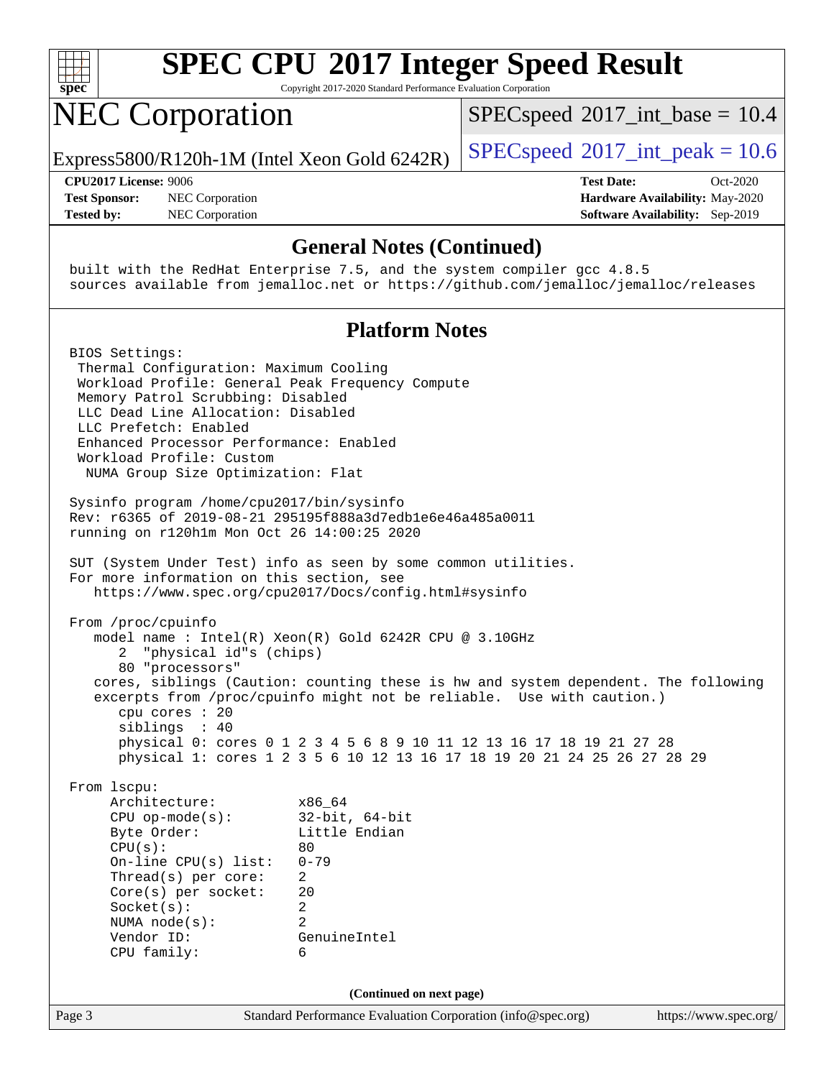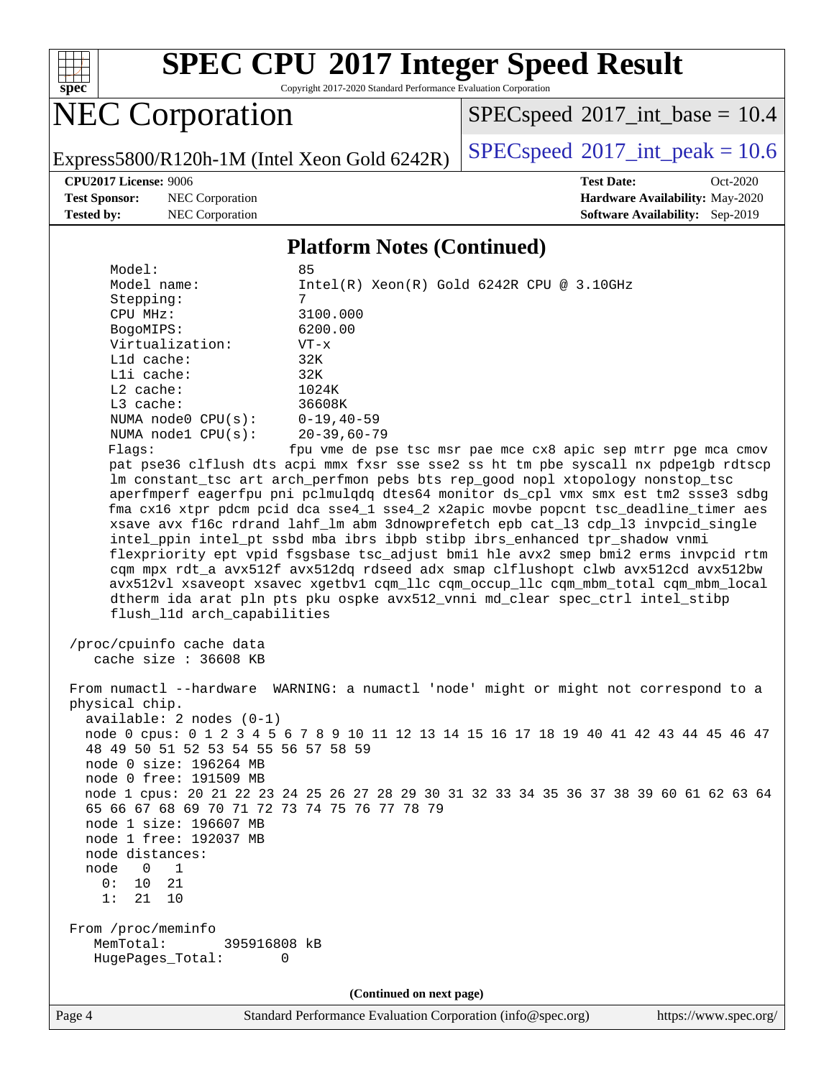

Copyright 2017-2020 Standard Performance Evaluation Corporation

## NEC Corporation

 $SPECspeed^{\circ}2017\_int\_base = 10.4$  $SPECspeed^{\circ}2017\_int\_base = 10.4$ 

Express5800/R120h-1M (Intel Xeon Gold 6242R)  $\big|$  [SPECspeed](http://www.spec.org/auto/cpu2017/Docs/result-fields.html#SPECspeed2017intpeak)®[2017\\_int\\_peak = 1](http://www.spec.org/auto/cpu2017/Docs/result-fields.html#SPECspeed2017intpeak)0.6

**[Test Sponsor:](http://www.spec.org/auto/cpu2017/Docs/result-fields.html#TestSponsor)** NEC Corporation **[Hardware Availability:](http://www.spec.org/auto/cpu2017/Docs/result-fields.html#HardwareAvailability)** May-2020 **[Tested by:](http://www.spec.org/auto/cpu2017/Docs/result-fields.html#Testedby)** NEC Corporation **[Software Availability:](http://www.spec.org/auto/cpu2017/Docs/result-fields.html#SoftwareAvailability)** Sep-2019

**[CPU2017 License:](http://www.spec.org/auto/cpu2017/Docs/result-fields.html#CPU2017License)** 9006 **[Test Date:](http://www.spec.org/auto/cpu2017/Docs/result-fields.html#TestDate)** Oct-2020

#### **[Platform Notes \(Continued\)](http://www.spec.org/auto/cpu2017/Docs/result-fields.html#PlatformNotes)**

| Model:                  | 85                                                                                                                     |
|-------------------------|------------------------------------------------------------------------------------------------------------------------|
| Model name:             | $Intel(R)$ Xeon $(R)$ Gold 6242R CPU @ 3.10GHz                                                                         |
| Stepping:               | 7                                                                                                                      |
| CPU MHz:                | 3100.000                                                                                                               |
| BogoMIPS:               | 6200.00                                                                                                                |
| Virtualization:         | $VT - x$                                                                                                               |
| $L1d$ cache:            | 32K                                                                                                                    |
| $L1i$ cache:            | 32K                                                                                                                    |
| $L2$ cache:             | 1024K                                                                                                                  |
| $L3$ cache:             | 36608K                                                                                                                 |
| NUMA $node0$ $CPU(s)$ : | $0 - 19,40 - 59$                                                                                                       |
| NUMA nodel CPU(s):      | 20-39.60-79                                                                                                            |
| Flaqs:                  | fpu vme de pse tsc msr pae mce cx8 apic sep mtrr pge mca cmov                                                          |
|                         | pat pse36 clflush dts acpi mmx fxsr sse sse2 ss ht tm pbe syscall nx pdpe1gb rdtscp                                    |
|                         | Im constant tsc art arch perfmon pebs bts rep good nopl xtopology nonstop tsc                                          |
|                         | لا المعامل المستخدمات المستخدمات المعاملة المستخدمات المستخدمات المستخدمات المستخدمات المستخدمات المستخدمات المستخدمات |

syscall nx pdpe1gb rdtscp xtopology nonstop\_tsc aperfmperf eagerfpu pni pclmulqdq dtes64 monitor ds\_cpl vmx smx est tm2 ssse3 sdbg fma cx16 xtpr pdcm pcid dca sse4\_1 sse4\_2 x2apic movbe popcnt tsc\_deadline\_timer aes xsave avx f16c rdrand lahf\_lm abm 3dnowprefetch epb cat\_l3 cdp\_l3 invpcid\_single intel\_ppin intel\_pt ssbd mba ibrs ibpb stibp ibrs\_enhanced tpr\_shadow vnmi flexpriority ept vpid fsgsbase tsc\_adjust bmi1 hle avx2 smep bmi2 erms invpcid rtm cqm mpx rdt\_a avx512f avx512dq rdseed adx smap clflushopt clwb avx512cd avx512bw avx512vl xsaveopt xsavec xgetbv1 cqm\_llc cqm\_occup\_llc cqm\_mbm\_total cqm\_mbm\_local dtherm ida arat pln pts pku ospke avx512\_vnni md\_clear spec\_ctrl intel\_stibp flush\_l1d arch\_capabilities

 /proc/cpuinfo cache data cache size : 36608 KB

 From numactl --hardware WARNING: a numactl 'node' might or might not correspond to a physical chip. available: 2 nodes (0-1) node 0 cpus: 0 1 2 3 4 5 6 7 8 9 10 11 12 13 14 15 16 17 18 19 40 41 42 43 44 45 46 47 48 49 50 51 52 53 54 55 56 57 58 59 node 0 size: 196264 MB node 0 free: 191509 MB node 1 cpus: 20 21 22 23 24 25 26 27 28 29 30 31 32 33 34 35 36 37 38 39 60 61 62 63 64 65 66 67 68 69 70 71 72 73 74 75 76 77 78 79 node 1 size: 196607 MB node 1 free: 192037 MB node distances: node 0 1 0: 10 21 1: 21 10 From /proc/meminfo MemTotal: 395916808 kB HugePages\_Total: 0

**(Continued on next page)**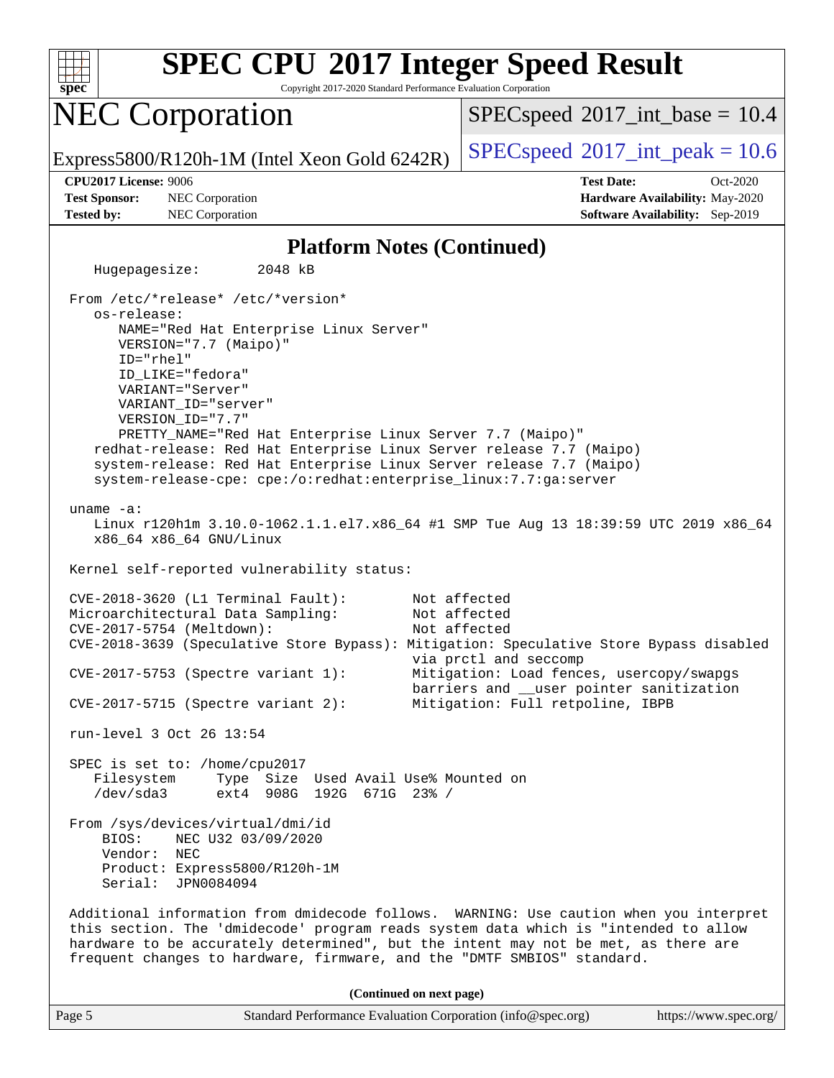

**(Continued on next page)**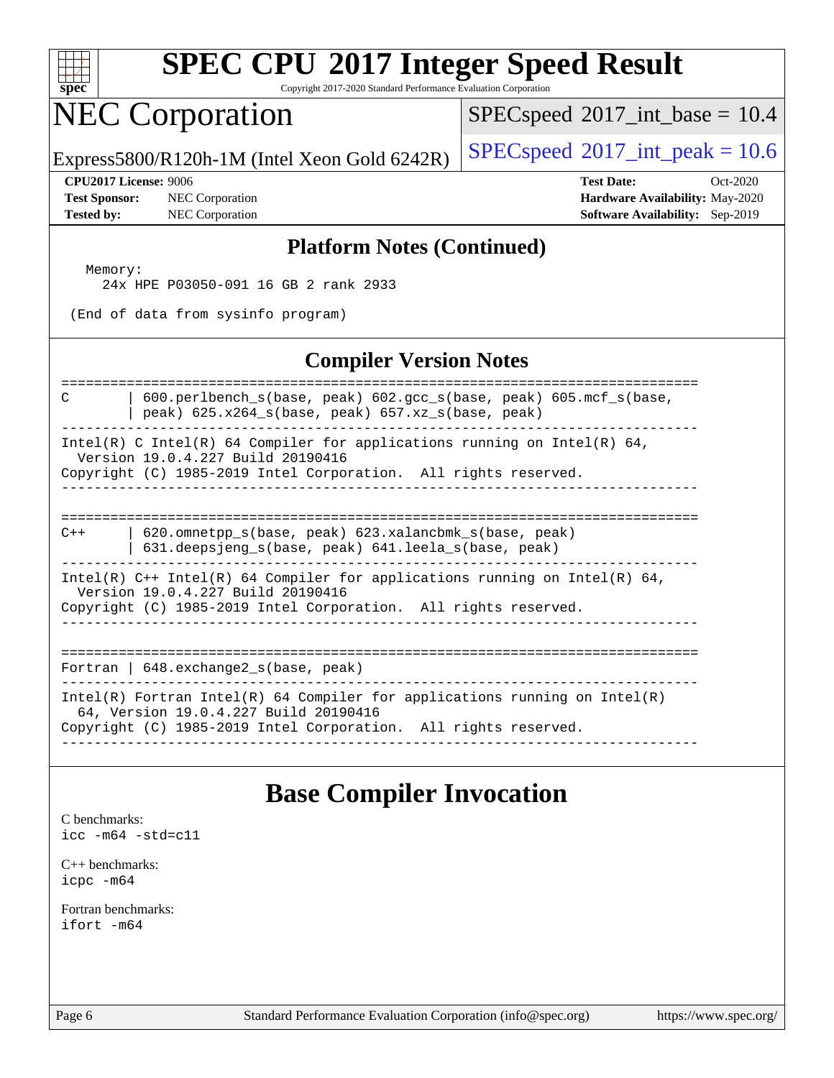| s<br>۰e<br>n<br>Ľ<br>I<br>ð |  |  |  |  |  |
|-----------------------------|--|--|--|--|--|

Copyright 2017-2020 Standard Performance Evaluation Corporation

## NEC Corporation

 $SPECspeed^{\circledcirc}2017\_int\_base = 10.4$  $SPECspeed^{\circledcirc}2017\_int\_base = 10.4$ 

Express5800/R120h-1M (Intel Xeon Gold 6242R) [SPECspeed](http://www.spec.org/auto/cpu2017/Docs/result-fields.html#SPECspeed2017intpeak)®[2017\\_int\\_peak = 1](http://www.spec.org/auto/cpu2017/Docs/result-fields.html#SPECspeed2017intpeak)0.6

**[Test Sponsor:](http://www.spec.org/auto/cpu2017/Docs/result-fields.html#TestSponsor)** NEC Corporation **[Hardware Availability:](http://www.spec.org/auto/cpu2017/Docs/result-fields.html#HardwareAvailability)** May-2020 **[Tested by:](http://www.spec.org/auto/cpu2017/Docs/result-fields.html#Testedby)** NEC Corporation **[Software Availability:](http://www.spec.org/auto/cpu2017/Docs/result-fields.html#SoftwareAvailability)** Sep-2019

**[CPU2017 License:](http://www.spec.org/auto/cpu2017/Docs/result-fields.html#CPU2017License)** 9006 **[Test Date:](http://www.spec.org/auto/cpu2017/Docs/result-fields.html#TestDate)** Oct-2020

#### **[Platform Notes \(Continued\)](http://www.spec.org/auto/cpu2017/Docs/result-fields.html#PlatformNotes)**

 Memory: 24x HPE P03050-091 16 GB 2 rank 2933

(End of data from sysinfo program)

#### **[Compiler Version Notes](http://www.spec.org/auto/cpu2017/Docs/result-fields.html#CompilerVersionNotes)**

============================================================================== C | 600.perlbench\_s(base, peak) 602.gcc\_s(base, peak) 605.mcf\_s(base,  $|$  peak) 625.x264 s(base, peak) 657.xz s(base, peak) ------------------------------------------------------------------------------ Intel(R) C Intel(R) 64 Compiler for applications running on Intel(R) 64, Version 19.0.4.227 Build 20190416 Copyright (C) 1985-2019 Intel Corporation. All rights reserved. ------------------------------------------------------------------------------ ============================================================================== C++ | 620.omnetpp\_s(base, peak) 623.xalancbmk\_s(base, peak) | 631.deepsjeng\_s(base, peak) 641.leela\_s(base, peak) ------------------------------------------------------------------------------ Intel(R)  $C++$  Intel(R) 64 Compiler for applications running on Intel(R) 64, Version 19.0.4.227 Build 20190416 Copyright (C) 1985-2019 Intel Corporation. All rights reserved. ------------------------------------------------------------------------------ ============================================================================== Fortran | 648.exchange2\_s(base, peak) ------------------------------------------------------------------------------ Intel(R) Fortran Intel(R) 64 Compiler for applications running on Intel(R) 64, Version 19.0.4.227 Build 20190416 Copyright (C) 1985-2019 Intel Corporation. All rights reserved. ------------------------------------------------------------------------------

#### **[Base Compiler Invocation](http://www.spec.org/auto/cpu2017/Docs/result-fields.html#BaseCompilerInvocation)**

[C benchmarks](http://www.spec.org/auto/cpu2017/Docs/result-fields.html#Cbenchmarks): [icc -m64 -std=c11](http://www.spec.org/cpu2017/results/res2020q4/cpu2017-20201026-24273.flags.html#user_CCbase_intel_icc_64bit_c11_33ee0cdaae7deeeab2a9725423ba97205ce30f63b9926c2519791662299b76a0318f32ddfffdc46587804de3178b4f9328c46fa7c2b0cd779d7a61945c91cd35)

[C++ benchmarks:](http://www.spec.org/auto/cpu2017/Docs/result-fields.html#CXXbenchmarks) [icpc -m64](http://www.spec.org/cpu2017/results/res2020q4/cpu2017-20201026-24273.flags.html#user_CXXbase_intel_icpc_64bit_4ecb2543ae3f1412ef961e0650ca070fec7b7afdcd6ed48761b84423119d1bf6bdf5cad15b44d48e7256388bc77273b966e5eb805aefd121eb22e9299b2ec9d9)

[Fortran benchmarks](http://www.spec.org/auto/cpu2017/Docs/result-fields.html#Fortranbenchmarks): [ifort -m64](http://www.spec.org/cpu2017/results/res2020q4/cpu2017-20201026-24273.flags.html#user_FCbase_intel_ifort_64bit_24f2bb282fbaeffd6157abe4f878425411749daecae9a33200eee2bee2fe76f3b89351d69a8130dd5949958ce389cf37ff59a95e7a40d588e8d3a57e0c3fd751)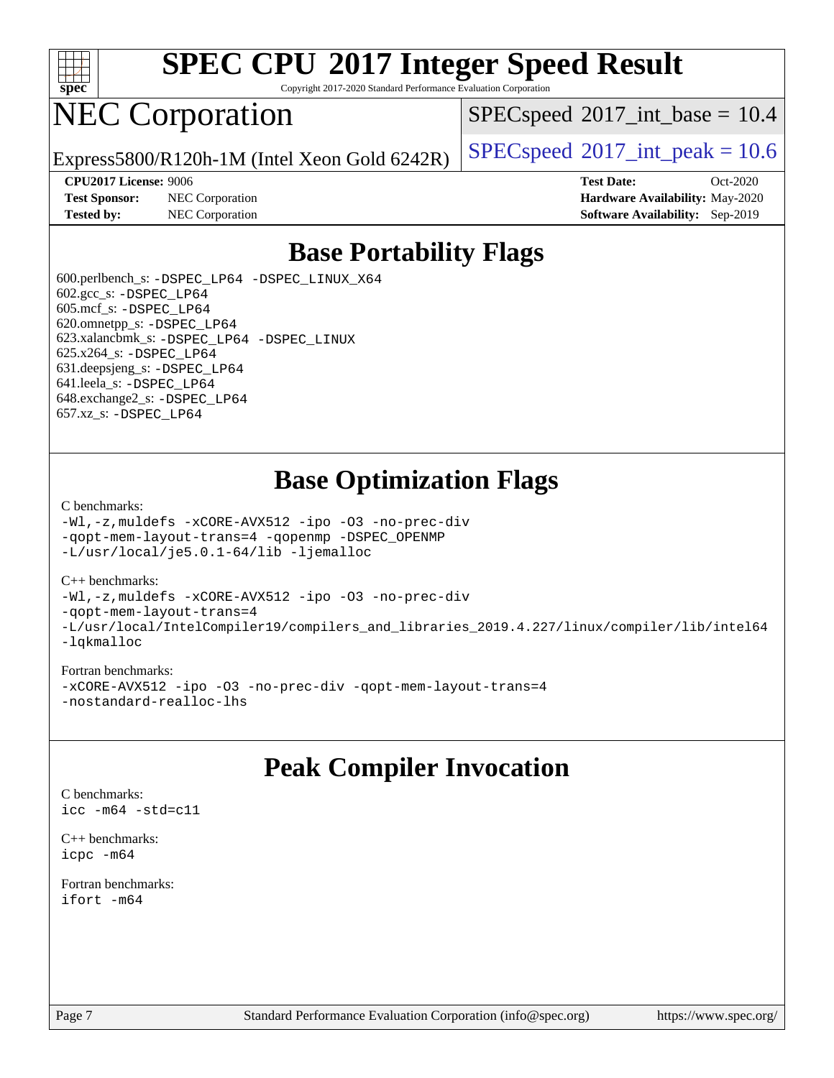

Copyright 2017-2020 Standard Performance Evaluation Corporation

## NEC Corporation

 $SPECspeed^{\circ}2017\_int\_base = 10.4$  $SPECspeed^{\circ}2017\_int\_base = 10.4$ 

Express5800/R120h-1M (Intel Xeon Gold 6242R)  $\big|$  [SPECspeed](http://www.spec.org/auto/cpu2017/Docs/result-fields.html#SPECspeed2017intpeak)®[2017\\_int\\_peak = 1](http://www.spec.org/auto/cpu2017/Docs/result-fields.html#SPECspeed2017intpeak)0.6

**[Test Sponsor:](http://www.spec.org/auto/cpu2017/Docs/result-fields.html#TestSponsor)** NEC Corporation **[Hardware Availability:](http://www.spec.org/auto/cpu2017/Docs/result-fields.html#HardwareAvailability)** May-2020 **[Tested by:](http://www.spec.org/auto/cpu2017/Docs/result-fields.html#Testedby)** NEC Corporation **[Software Availability:](http://www.spec.org/auto/cpu2017/Docs/result-fields.html#SoftwareAvailability)** Sep-2019

**[CPU2017 License:](http://www.spec.org/auto/cpu2017/Docs/result-fields.html#CPU2017License)** 9006 **[Test Date:](http://www.spec.org/auto/cpu2017/Docs/result-fields.html#TestDate)** Oct-2020

## **[Base Portability Flags](http://www.spec.org/auto/cpu2017/Docs/result-fields.html#BasePortabilityFlags)**

 600.perlbench\_s: [-DSPEC\\_LP64](http://www.spec.org/cpu2017/results/res2020q4/cpu2017-20201026-24273.flags.html#b600.perlbench_s_basePORTABILITY_DSPEC_LP64) [-DSPEC\\_LINUX\\_X64](http://www.spec.org/cpu2017/results/res2020q4/cpu2017-20201026-24273.flags.html#b600.perlbench_s_baseCPORTABILITY_DSPEC_LINUX_X64) 602.gcc\_s: [-DSPEC\\_LP64](http://www.spec.org/cpu2017/results/res2020q4/cpu2017-20201026-24273.flags.html#suite_basePORTABILITY602_gcc_s_DSPEC_LP64) 605.mcf\_s: [-DSPEC\\_LP64](http://www.spec.org/cpu2017/results/res2020q4/cpu2017-20201026-24273.flags.html#suite_basePORTABILITY605_mcf_s_DSPEC_LP64) 620.omnetpp\_s: [-DSPEC\\_LP64](http://www.spec.org/cpu2017/results/res2020q4/cpu2017-20201026-24273.flags.html#suite_basePORTABILITY620_omnetpp_s_DSPEC_LP64) 623.xalancbmk\_s: [-DSPEC\\_LP64](http://www.spec.org/cpu2017/results/res2020q4/cpu2017-20201026-24273.flags.html#suite_basePORTABILITY623_xalancbmk_s_DSPEC_LP64) [-DSPEC\\_LINUX](http://www.spec.org/cpu2017/results/res2020q4/cpu2017-20201026-24273.flags.html#b623.xalancbmk_s_baseCXXPORTABILITY_DSPEC_LINUX) 625.x264\_s: [-DSPEC\\_LP64](http://www.spec.org/cpu2017/results/res2020q4/cpu2017-20201026-24273.flags.html#suite_basePORTABILITY625_x264_s_DSPEC_LP64) 631.deepsjeng\_s: [-DSPEC\\_LP64](http://www.spec.org/cpu2017/results/res2020q4/cpu2017-20201026-24273.flags.html#suite_basePORTABILITY631_deepsjeng_s_DSPEC_LP64) 641.leela\_s: [-DSPEC\\_LP64](http://www.spec.org/cpu2017/results/res2020q4/cpu2017-20201026-24273.flags.html#suite_basePORTABILITY641_leela_s_DSPEC_LP64) 648.exchange2\_s: [-DSPEC\\_LP64](http://www.spec.org/cpu2017/results/res2020q4/cpu2017-20201026-24273.flags.html#suite_basePORTABILITY648_exchange2_s_DSPEC_LP64) 657.xz\_s: [-DSPEC\\_LP64](http://www.spec.org/cpu2017/results/res2020q4/cpu2017-20201026-24273.flags.html#suite_basePORTABILITY657_xz_s_DSPEC_LP64)

## **[Base Optimization Flags](http://www.spec.org/auto/cpu2017/Docs/result-fields.html#BaseOptimizationFlags)**

#### [C benchmarks](http://www.spec.org/auto/cpu2017/Docs/result-fields.html#Cbenchmarks):

[-Wl,-z,muldefs](http://www.spec.org/cpu2017/results/res2020q4/cpu2017-20201026-24273.flags.html#user_CCbase_link_force_multiple1_b4cbdb97b34bdee9ceefcfe54f4c8ea74255f0b02a4b23e853cdb0e18eb4525ac79b5a88067c842dd0ee6996c24547a27a4b99331201badda8798ef8a743f577) [-xCORE-AVX512](http://www.spec.org/cpu2017/results/res2020q4/cpu2017-20201026-24273.flags.html#user_CCbase_f-xCORE-AVX512) [-ipo](http://www.spec.org/cpu2017/results/res2020q4/cpu2017-20201026-24273.flags.html#user_CCbase_f-ipo) [-O3](http://www.spec.org/cpu2017/results/res2020q4/cpu2017-20201026-24273.flags.html#user_CCbase_f-O3) [-no-prec-div](http://www.spec.org/cpu2017/results/res2020q4/cpu2017-20201026-24273.flags.html#user_CCbase_f-no-prec-div) [-qopt-mem-layout-trans=4](http://www.spec.org/cpu2017/results/res2020q4/cpu2017-20201026-24273.flags.html#user_CCbase_f-qopt-mem-layout-trans_fa39e755916c150a61361b7846f310bcdf6f04e385ef281cadf3647acec3f0ae266d1a1d22d972a7087a248fd4e6ca390a3634700869573d231a252c784941a8) [-qopenmp](http://www.spec.org/cpu2017/results/res2020q4/cpu2017-20201026-24273.flags.html#user_CCbase_qopenmp_16be0c44f24f464004c6784a7acb94aca937f053568ce72f94b139a11c7c168634a55f6653758ddd83bcf7b8463e8028bb0b48b77bcddc6b78d5d95bb1df2967) [-DSPEC\\_OPENMP](http://www.spec.org/cpu2017/results/res2020q4/cpu2017-20201026-24273.flags.html#suite_CCbase_DSPEC_OPENMP) [-L/usr/local/je5.0.1-64/lib](http://www.spec.org/cpu2017/results/res2020q4/cpu2017-20201026-24273.flags.html#user_CCbase_jemalloc_link_path64_4b10a636b7bce113509b17f3bd0d6226c5fb2346b9178c2d0232c14f04ab830f976640479e5c33dc2bcbbdad86ecfb6634cbbd4418746f06f368b512fced5394) [-ljemalloc](http://www.spec.org/cpu2017/results/res2020q4/cpu2017-20201026-24273.flags.html#user_CCbase_jemalloc_link_lib_d1249b907c500fa1c0672f44f562e3d0f79738ae9e3c4a9c376d49f265a04b9c99b167ecedbf6711b3085be911c67ff61f150a17b3472be731631ba4d0471706)

#### [C++ benchmarks:](http://www.spec.org/auto/cpu2017/Docs/result-fields.html#CXXbenchmarks)

[-Wl,-z,muldefs](http://www.spec.org/cpu2017/results/res2020q4/cpu2017-20201026-24273.flags.html#user_CXXbase_link_force_multiple1_b4cbdb97b34bdee9ceefcfe54f4c8ea74255f0b02a4b23e853cdb0e18eb4525ac79b5a88067c842dd0ee6996c24547a27a4b99331201badda8798ef8a743f577) [-xCORE-AVX512](http://www.spec.org/cpu2017/results/res2020q4/cpu2017-20201026-24273.flags.html#user_CXXbase_f-xCORE-AVX512) [-ipo](http://www.spec.org/cpu2017/results/res2020q4/cpu2017-20201026-24273.flags.html#user_CXXbase_f-ipo) [-O3](http://www.spec.org/cpu2017/results/res2020q4/cpu2017-20201026-24273.flags.html#user_CXXbase_f-O3) [-no-prec-div](http://www.spec.org/cpu2017/results/res2020q4/cpu2017-20201026-24273.flags.html#user_CXXbase_f-no-prec-div) [-qopt-mem-layout-trans=4](http://www.spec.org/cpu2017/results/res2020q4/cpu2017-20201026-24273.flags.html#user_CXXbase_f-qopt-mem-layout-trans_fa39e755916c150a61361b7846f310bcdf6f04e385ef281cadf3647acec3f0ae266d1a1d22d972a7087a248fd4e6ca390a3634700869573d231a252c784941a8) [-L/usr/local/IntelCompiler19/compilers\\_and\\_libraries\\_2019.4.227/linux/compiler/lib/intel64](http://www.spec.org/cpu2017/results/res2020q4/cpu2017-20201026-24273.flags.html#user_CXXbase_qkmalloc_link_0ffe0cb02c68ef1b443a077c7888c10c67ca0d1dd7138472156f06a085bbad385f78d49618ad55dca9db3b1608e84afc2f69b4003b1d1ca498a9fc1462ccefda) [-lqkmalloc](http://www.spec.org/cpu2017/results/res2020q4/cpu2017-20201026-24273.flags.html#user_CXXbase_qkmalloc_link_lib_79a818439969f771c6bc311cfd333c00fc099dad35c030f5aab9dda831713d2015205805422f83de8875488a2991c0a156aaa600e1f9138f8fc37004abc96dc5)

#### [Fortran benchmarks:](http://www.spec.org/auto/cpu2017/Docs/result-fields.html#Fortranbenchmarks)

[-xCORE-AVX512](http://www.spec.org/cpu2017/results/res2020q4/cpu2017-20201026-24273.flags.html#user_FCbase_f-xCORE-AVX512) [-ipo](http://www.spec.org/cpu2017/results/res2020q4/cpu2017-20201026-24273.flags.html#user_FCbase_f-ipo) [-O3](http://www.spec.org/cpu2017/results/res2020q4/cpu2017-20201026-24273.flags.html#user_FCbase_f-O3) [-no-prec-div](http://www.spec.org/cpu2017/results/res2020q4/cpu2017-20201026-24273.flags.html#user_FCbase_f-no-prec-div) [-qopt-mem-layout-trans=4](http://www.spec.org/cpu2017/results/res2020q4/cpu2017-20201026-24273.flags.html#user_FCbase_f-qopt-mem-layout-trans_fa39e755916c150a61361b7846f310bcdf6f04e385ef281cadf3647acec3f0ae266d1a1d22d972a7087a248fd4e6ca390a3634700869573d231a252c784941a8) [-nostandard-realloc-lhs](http://www.spec.org/cpu2017/results/res2020q4/cpu2017-20201026-24273.flags.html#user_FCbase_f_2003_std_realloc_82b4557e90729c0f113870c07e44d33d6f5a304b4f63d4c15d2d0f1fab99f5daaed73bdb9275d9ae411527f28b936061aa8b9c8f2d63842963b95c9dd6426b8a)

## **[Peak Compiler Invocation](http://www.spec.org/auto/cpu2017/Docs/result-fields.html#PeakCompilerInvocation)**

[C benchmarks](http://www.spec.org/auto/cpu2017/Docs/result-fields.html#Cbenchmarks): [icc -m64 -std=c11](http://www.spec.org/cpu2017/results/res2020q4/cpu2017-20201026-24273.flags.html#user_CCpeak_intel_icc_64bit_c11_33ee0cdaae7deeeab2a9725423ba97205ce30f63b9926c2519791662299b76a0318f32ddfffdc46587804de3178b4f9328c46fa7c2b0cd779d7a61945c91cd35)

[C++ benchmarks:](http://www.spec.org/auto/cpu2017/Docs/result-fields.html#CXXbenchmarks) [icpc -m64](http://www.spec.org/cpu2017/results/res2020q4/cpu2017-20201026-24273.flags.html#user_CXXpeak_intel_icpc_64bit_4ecb2543ae3f1412ef961e0650ca070fec7b7afdcd6ed48761b84423119d1bf6bdf5cad15b44d48e7256388bc77273b966e5eb805aefd121eb22e9299b2ec9d9)

[Fortran benchmarks](http://www.spec.org/auto/cpu2017/Docs/result-fields.html#Fortranbenchmarks): [ifort -m64](http://www.spec.org/cpu2017/results/res2020q4/cpu2017-20201026-24273.flags.html#user_FCpeak_intel_ifort_64bit_24f2bb282fbaeffd6157abe4f878425411749daecae9a33200eee2bee2fe76f3b89351d69a8130dd5949958ce389cf37ff59a95e7a40d588e8d3a57e0c3fd751)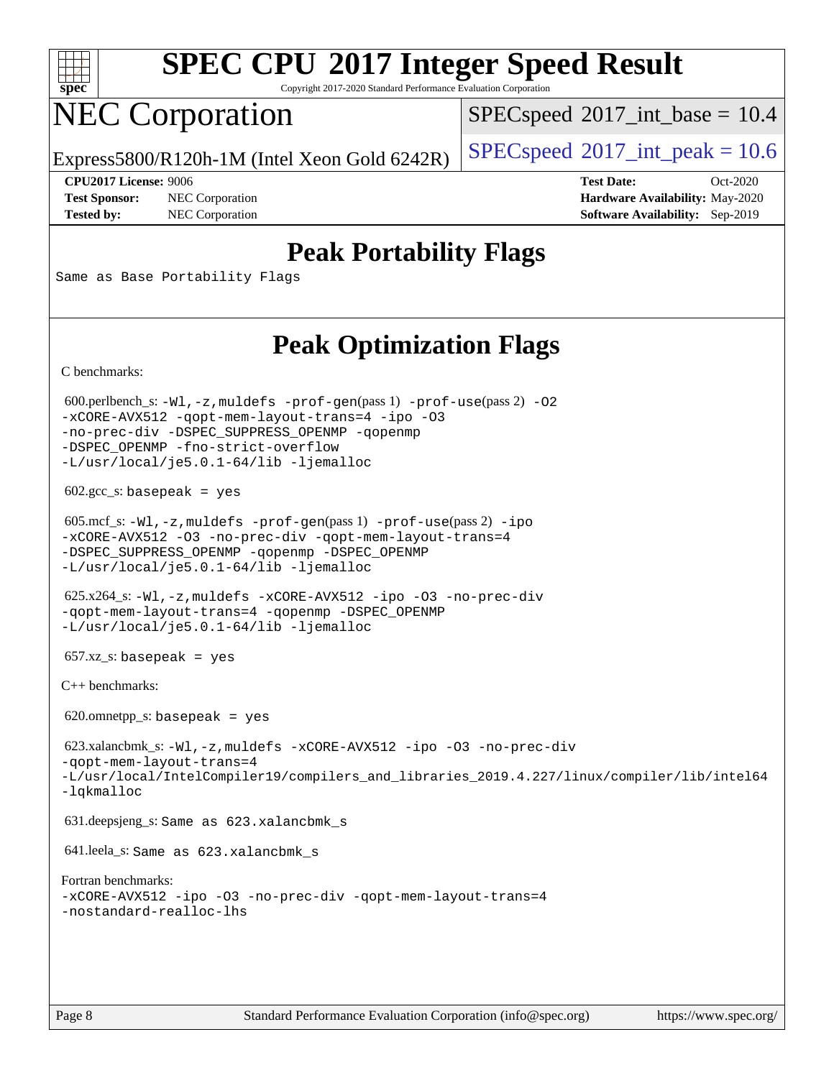

Copyright 2017-2020 Standard Performance Evaluation Corporation

## NEC Corporation

 $SPECspeed^{\circ}2017\_int\_base = 10.4$  $SPECspeed^{\circ}2017\_int\_base = 10.4$ 

Express5800/R120h-1M (Intel Xeon Gold 6242R)  $\big|$  [SPECspeed](http://www.spec.org/auto/cpu2017/Docs/result-fields.html#SPECspeed2017intpeak)®[2017\\_int\\_peak = 1](http://www.spec.org/auto/cpu2017/Docs/result-fields.html#SPECspeed2017intpeak)0.6

**[Test Sponsor:](http://www.spec.org/auto/cpu2017/Docs/result-fields.html#TestSponsor)** NEC Corporation **[Hardware Availability:](http://www.spec.org/auto/cpu2017/Docs/result-fields.html#HardwareAvailability)** May-2020

**[CPU2017 License:](http://www.spec.org/auto/cpu2017/Docs/result-fields.html#CPU2017License)** 9006 **[Test Date:](http://www.spec.org/auto/cpu2017/Docs/result-fields.html#TestDate)** Oct-2020 **[Tested by:](http://www.spec.org/auto/cpu2017/Docs/result-fields.html#Testedby)** NEC Corporation **[Software Availability:](http://www.spec.org/auto/cpu2017/Docs/result-fields.html#SoftwareAvailability)** Sep-2019

## **[Peak Portability Flags](http://www.spec.org/auto/cpu2017/Docs/result-fields.html#PeakPortabilityFlags)**

Same as Base Portability Flags

## **[Peak Optimization Flags](http://www.spec.org/auto/cpu2017/Docs/result-fields.html#PeakOptimizationFlags)**

[C benchmarks](http://www.spec.org/auto/cpu2017/Docs/result-fields.html#Cbenchmarks):

600.perlbench\_s:  $-W1$ , -z, muldefs [-prof-gen](http://www.spec.org/cpu2017/results/res2020q4/cpu2017-20201026-24273.flags.html#user_peakPASS1_CFLAGSPASS1_LDFLAGS600_perlbench_s_prof_gen_5aa4926d6013ddb2a31985c654b3eb18169fc0c6952a63635c234f711e6e63dd76e94ad52365559451ec499a2cdb89e4dc58ba4c67ef54ca681ffbe1461d6b36)(pass 1) [-prof-use](http://www.spec.org/cpu2017/results/res2020q4/cpu2017-20201026-24273.flags.html#user_peakPASS2_CFLAGSPASS2_LDFLAGS600_perlbench_s_prof_use_1a21ceae95f36a2b53c25747139a6c16ca95bd9def2a207b4f0849963b97e94f5260e30a0c64f4bb623698870e679ca08317ef8150905d41bd88c6f78df73f19)(pass 2) -02 [-xCORE-AVX512](http://www.spec.org/cpu2017/results/res2020q4/cpu2017-20201026-24273.flags.html#user_peakPASS2_COPTIMIZE600_perlbench_s_f-xCORE-AVX512) [-qopt-mem-layout-trans=4](http://www.spec.org/cpu2017/results/res2020q4/cpu2017-20201026-24273.flags.html#user_peakPASS1_COPTIMIZEPASS2_COPTIMIZE600_perlbench_s_f-qopt-mem-layout-trans_fa39e755916c150a61361b7846f310bcdf6f04e385ef281cadf3647acec3f0ae266d1a1d22d972a7087a248fd4e6ca390a3634700869573d231a252c784941a8) [-ipo](http://www.spec.org/cpu2017/results/res2020q4/cpu2017-20201026-24273.flags.html#user_peakPASS2_COPTIMIZE600_perlbench_s_f-ipo) [-O3](http://www.spec.org/cpu2017/results/res2020q4/cpu2017-20201026-24273.flags.html#user_peakPASS2_COPTIMIZE600_perlbench_s_f-O3) [-no-prec-div](http://www.spec.org/cpu2017/results/res2020q4/cpu2017-20201026-24273.flags.html#user_peakPASS2_COPTIMIZE600_perlbench_s_f-no-prec-div) [-DSPEC\\_SUPPRESS\\_OPENMP](http://www.spec.org/cpu2017/results/res2020q4/cpu2017-20201026-24273.flags.html#suite_peakPASS1_COPTIMIZE600_perlbench_s_DSPEC_SUPPRESS_OPENMP) [-qopenmp](http://www.spec.org/cpu2017/results/res2020q4/cpu2017-20201026-24273.flags.html#user_peakPASS2_COPTIMIZE600_perlbench_s_qopenmp_16be0c44f24f464004c6784a7acb94aca937f053568ce72f94b139a11c7c168634a55f6653758ddd83bcf7b8463e8028bb0b48b77bcddc6b78d5d95bb1df2967) [-DSPEC\\_OPENMP](http://www.spec.org/cpu2017/results/res2020q4/cpu2017-20201026-24273.flags.html#suite_peakPASS2_COPTIMIZE600_perlbench_s_DSPEC_OPENMP) [-fno-strict-overflow](http://www.spec.org/cpu2017/results/res2020q4/cpu2017-20201026-24273.flags.html#user_peakEXTRA_OPTIMIZE600_perlbench_s_f-fno-strict-overflow) [-L/usr/local/je5.0.1-64/lib](http://www.spec.org/cpu2017/results/res2020q4/cpu2017-20201026-24273.flags.html#user_peakEXTRA_LIBS600_perlbench_s_jemalloc_link_path64_4b10a636b7bce113509b17f3bd0d6226c5fb2346b9178c2d0232c14f04ab830f976640479e5c33dc2bcbbdad86ecfb6634cbbd4418746f06f368b512fced5394) [-ljemalloc](http://www.spec.org/cpu2017/results/res2020q4/cpu2017-20201026-24273.flags.html#user_peakEXTRA_LIBS600_perlbench_s_jemalloc_link_lib_d1249b907c500fa1c0672f44f562e3d0f79738ae9e3c4a9c376d49f265a04b9c99b167ecedbf6711b3085be911c67ff61f150a17b3472be731631ba4d0471706)  $602.\text{gcc}\_\text{s}:$  basepeak = yes 605.mcf\_s: [-Wl,-z,muldefs](http://www.spec.org/cpu2017/results/res2020q4/cpu2017-20201026-24273.flags.html#user_peakEXTRA_LDFLAGS605_mcf_s_link_force_multiple1_b4cbdb97b34bdee9ceefcfe54f4c8ea74255f0b02a4b23e853cdb0e18eb4525ac79b5a88067c842dd0ee6996c24547a27a4b99331201badda8798ef8a743f577) [-prof-gen](http://www.spec.org/cpu2017/results/res2020q4/cpu2017-20201026-24273.flags.html#user_peakPASS1_CFLAGSPASS1_LDFLAGS605_mcf_s_prof_gen_5aa4926d6013ddb2a31985c654b3eb18169fc0c6952a63635c234f711e6e63dd76e94ad52365559451ec499a2cdb89e4dc58ba4c67ef54ca681ffbe1461d6b36)(pass 1) [-prof-use](http://www.spec.org/cpu2017/results/res2020q4/cpu2017-20201026-24273.flags.html#user_peakPASS2_CFLAGSPASS2_LDFLAGS605_mcf_s_prof_use_1a21ceae95f36a2b53c25747139a6c16ca95bd9def2a207b4f0849963b97e94f5260e30a0c64f4bb623698870e679ca08317ef8150905d41bd88c6f78df73f19)(pass 2) [-ipo](http://www.spec.org/cpu2017/results/res2020q4/cpu2017-20201026-24273.flags.html#user_peakPASS1_COPTIMIZEPASS2_COPTIMIZE605_mcf_s_f-ipo) [-xCORE-AVX512](http://www.spec.org/cpu2017/results/res2020q4/cpu2017-20201026-24273.flags.html#user_peakPASS2_COPTIMIZE605_mcf_s_f-xCORE-AVX512) [-O3](http://www.spec.org/cpu2017/results/res2020q4/cpu2017-20201026-24273.flags.html#user_peakPASS1_COPTIMIZEPASS2_COPTIMIZE605_mcf_s_f-O3) [-no-prec-div](http://www.spec.org/cpu2017/results/res2020q4/cpu2017-20201026-24273.flags.html#user_peakPASS1_COPTIMIZEPASS2_COPTIMIZE605_mcf_s_f-no-prec-div) [-qopt-mem-layout-trans=4](http://www.spec.org/cpu2017/results/res2020q4/cpu2017-20201026-24273.flags.html#user_peakPASS1_COPTIMIZEPASS2_COPTIMIZE605_mcf_s_f-qopt-mem-layout-trans_fa39e755916c150a61361b7846f310bcdf6f04e385ef281cadf3647acec3f0ae266d1a1d22d972a7087a248fd4e6ca390a3634700869573d231a252c784941a8) [-DSPEC\\_SUPPRESS\\_OPENMP](http://www.spec.org/cpu2017/results/res2020q4/cpu2017-20201026-24273.flags.html#suite_peakPASS1_COPTIMIZE605_mcf_s_DSPEC_SUPPRESS_OPENMP) [-qopenmp](http://www.spec.org/cpu2017/results/res2020q4/cpu2017-20201026-24273.flags.html#user_peakPASS2_COPTIMIZE605_mcf_s_qopenmp_16be0c44f24f464004c6784a7acb94aca937f053568ce72f94b139a11c7c168634a55f6653758ddd83bcf7b8463e8028bb0b48b77bcddc6b78d5d95bb1df2967) [-DSPEC\\_OPENMP](http://www.spec.org/cpu2017/results/res2020q4/cpu2017-20201026-24273.flags.html#suite_peakPASS2_COPTIMIZE605_mcf_s_DSPEC_OPENMP) [-L/usr/local/je5.0.1-64/lib](http://www.spec.org/cpu2017/results/res2020q4/cpu2017-20201026-24273.flags.html#user_peakEXTRA_LIBS605_mcf_s_jemalloc_link_path64_4b10a636b7bce113509b17f3bd0d6226c5fb2346b9178c2d0232c14f04ab830f976640479e5c33dc2bcbbdad86ecfb6634cbbd4418746f06f368b512fced5394) [-ljemalloc](http://www.spec.org/cpu2017/results/res2020q4/cpu2017-20201026-24273.flags.html#user_peakEXTRA_LIBS605_mcf_s_jemalloc_link_lib_d1249b907c500fa1c0672f44f562e3d0f79738ae9e3c4a9c376d49f265a04b9c99b167ecedbf6711b3085be911c67ff61f150a17b3472be731631ba4d0471706) 625.x264\_s: [-Wl,-z,muldefs](http://www.spec.org/cpu2017/results/res2020q4/cpu2017-20201026-24273.flags.html#user_peakEXTRA_LDFLAGS625_x264_s_link_force_multiple1_b4cbdb97b34bdee9ceefcfe54f4c8ea74255f0b02a4b23e853cdb0e18eb4525ac79b5a88067c842dd0ee6996c24547a27a4b99331201badda8798ef8a743f577) [-xCORE-AVX512](http://www.spec.org/cpu2017/results/res2020q4/cpu2017-20201026-24273.flags.html#user_peakCOPTIMIZE625_x264_s_f-xCORE-AVX512) [-ipo](http://www.spec.org/cpu2017/results/res2020q4/cpu2017-20201026-24273.flags.html#user_peakCOPTIMIZE625_x264_s_f-ipo) [-O3](http://www.spec.org/cpu2017/results/res2020q4/cpu2017-20201026-24273.flags.html#user_peakCOPTIMIZE625_x264_s_f-O3) [-no-prec-div](http://www.spec.org/cpu2017/results/res2020q4/cpu2017-20201026-24273.flags.html#user_peakCOPTIMIZE625_x264_s_f-no-prec-div) [-qopt-mem-layout-trans=4](http://www.spec.org/cpu2017/results/res2020q4/cpu2017-20201026-24273.flags.html#user_peakCOPTIMIZE625_x264_s_f-qopt-mem-layout-trans_fa39e755916c150a61361b7846f310bcdf6f04e385ef281cadf3647acec3f0ae266d1a1d22d972a7087a248fd4e6ca390a3634700869573d231a252c784941a8) [-qopenmp](http://www.spec.org/cpu2017/results/res2020q4/cpu2017-20201026-24273.flags.html#user_peakCOPTIMIZE625_x264_s_qopenmp_16be0c44f24f464004c6784a7acb94aca937f053568ce72f94b139a11c7c168634a55f6653758ddd83bcf7b8463e8028bb0b48b77bcddc6b78d5d95bb1df2967) [-DSPEC\\_OPENMP](http://www.spec.org/cpu2017/results/res2020q4/cpu2017-20201026-24273.flags.html#suite_peakCOPTIMIZE625_x264_s_DSPEC_OPENMP) [-L/usr/local/je5.0.1-64/lib](http://www.spec.org/cpu2017/results/res2020q4/cpu2017-20201026-24273.flags.html#user_peakEXTRA_LIBS625_x264_s_jemalloc_link_path64_4b10a636b7bce113509b17f3bd0d6226c5fb2346b9178c2d0232c14f04ab830f976640479e5c33dc2bcbbdad86ecfb6634cbbd4418746f06f368b512fced5394) [-ljemalloc](http://www.spec.org/cpu2017/results/res2020q4/cpu2017-20201026-24273.flags.html#user_peakEXTRA_LIBS625_x264_s_jemalloc_link_lib_d1249b907c500fa1c0672f44f562e3d0f79738ae9e3c4a9c376d49f265a04b9c99b167ecedbf6711b3085be911c67ff61f150a17b3472be731631ba4d0471706)  $657.xz_s$ : basepeak = yes [C++ benchmarks:](http://www.spec.org/auto/cpu2017/Docs/result-fields.html#CXXbenchmarks) 620.omnetpp\_s: basepeak = yes 623.xalancbmk\_s: [-Wl,-z,muldefs](http://www.spec.org/cpu2017/results/res2020q4/cpu2017-20201026-24273.flags.html#user_peakEXTRA_LDFLAGS623_xalancbmk_s_link_force_multiple1_b4cbdb97b34bdee9ceefcfe54f4c8ea74255f0b02a4b23e853cdb0e18eb4525ac79b5a88067c842dd0ee6996c24547a27a4b99331201badda8798ef8a743f577) [-xCORE-AVX512](http://www.spec.org/cpu2017/results/res2020q4/cpu2017-20201026-24273.flags.html#user_peakCXXOPTIMIZE623_xalancbmk_s_f-xCORE-AVX512) [-ipo](http://www.spec.org/cpu2017/results/res2020q4/cpu2017-20201026-24273.flags.html#user_peakCXXOPTIMIZE623_xalancbmk_s_f-ipo) [-O3](http://www.spec.org/cpu2017/results/res2020q4/cpu2017-20201026-24273.flags.html#user_peakCXXOPTIMIZE623_xalancbmk_s_f-O3) [-no-prec-div](http://www.spec.org/cpu2017/results/res2020q4/cpu2017-20201026-24273.flags.html#user_peakCXXOPTIMIZE623_xalancbmk_s_f-no-prec-div) [-qopt-mem-layout-trans=4](http://www.spec.org/cpu2017/results/res2020q4/cpu2017-20201026-24273.flags.html#user_peakCXXOPTIMIZE623_xalancbmk_s_f-qopt-mem-layout-trans_fa39e755916c150a61361b7846f310bcdf6f04e385ef281cadf3647acec3f0ae266d1a1d22d972a7087a248fd4e6ca390a3634700869573d231a252c784941a8) [-L/usr/local/IntelCompiler19/compilers\\_and\\_libraries\\_2019.4.227/linux/compiler/lib/intel64](http://www.spec.org/cpu2017/results/res2020q4/cpu2017-20201026-24273.flags.html#user_peakEXTRA_LIBS623_xalancbmk_s_qkmalloc_link_0ffe0cb02c68ef1b443a077c7888c10c67ca0d1dd7138472156f06a085bbad385f78d49618ad55dca9db3b1608e84afc2f69b4003b1d1ca498a9fc1462ccefda) [-lqkmalloc](http://www.spec.org/cpu2017/results/res2020q4/cpu2017-20201026-24273.flags.html#user_peakEXTRA_LIBS623_xalancbmk_s_qkmalloc_link_lib_79a818439969f771c6bc311cfd333c00fc099dad35c030f5aab9dda831713d2015205805422f83de8875488a2991c0a156aaa600e1f9138f8fc37004abc96dc5) 631.deepsjeng\_s: Same as 623.xalancbmk\_s 641.leela\_s: Same as 623.xalancbmk\_s [Fortran benchmarks:](http://www.spec.org/auto/cpu2017/Docs/result-fields.html#Fortranbenchmarks) [-xCORE-AVX512](http://www.spec.org/cpu2017/results/res2020q4/cpu2017-20201026-24273.flags.html#user_FCpeak_f-xCORE-AVX512) [-ipo](http://www.spec.org/cpu2017/results/res2020q4/cpu2017-20201026-24273.flags.html#user_FCpeak_f-ipo) [-O3](http://www.spec.org/cpu2017/results/res2020q4/cpu2017-20201026-24273.flags.html#user_FCpeak_f-O3) [-no-prec-div](http://www.spec.org/cpu2017/results/res2020q4/cpu2017-20201026-24273.flags.html#user_FCpeak_f-no-prec-div) [-qopt-mem-layout-trans=4](http://www.spec.org/cpu2017/results/res2020q4/cpu2017-20201026-24273.flags.html#user_FCpeak_f-qopt-mem-layout-trans_fa39e755916c150a61361b7846f310bcdf6f04e385ef281cadf3647acec3f0ae266d1a1d22d972a7087a248fd4e6ca390a3634700869573d231a252c784941a8) [-nostandard-realloc-lhs](http://www.spec.org/cpu2017/results/res2020q4/cpu2017-20201026-24273.flags.html#user_FCpeak_f_2003_std_realloc_82b4557e90729c0f113870c07e44d33d6f5a304b4f63d4c15d2d0f1fab99f5daaed73bdb9275d9ae411527f28b936061aa8b9c8f2d63842963b95c9dd6426b8a)